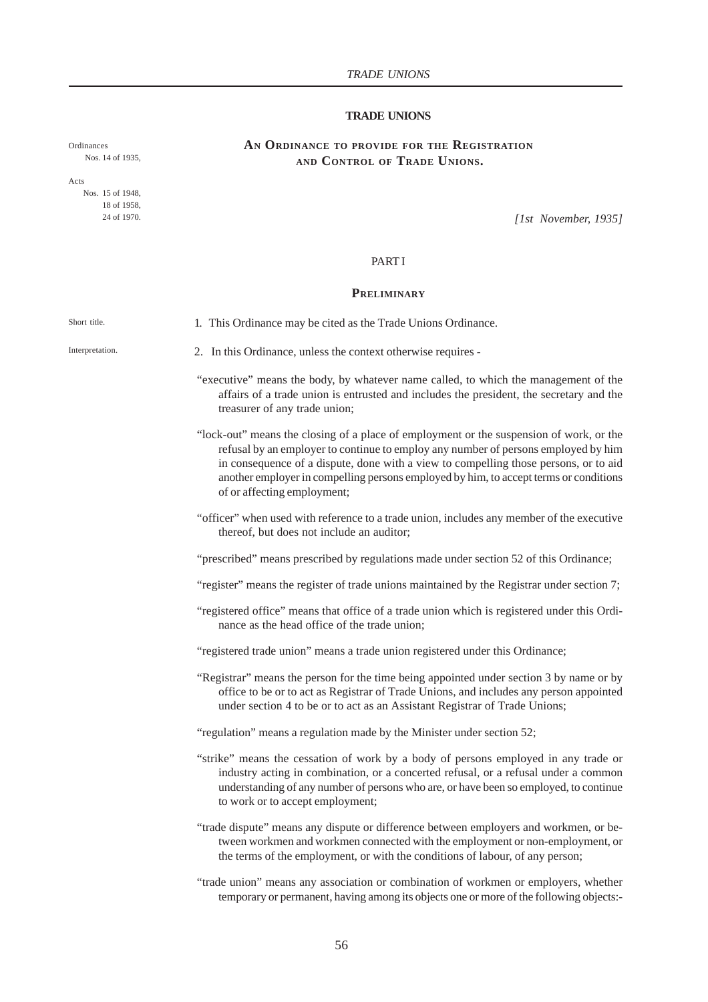## **TRADE UNIONS**

# **AN ORDINANCE TO PROVIDE FOR THE REGISTRATION AND CONTROL OF TRADE UNIONS.**

Nos. 14 of 1935,

Ordinances

Acts Nos. 15 of 1948, 18 of 1958, 24 of 1970.

*[1st November, 1935]*

#### **PART I**

#### **PRELIMINARY**

Interpretation.

Short title.

1. This Ordinance may be cited as the Trade Unions Ordinance.

- 2. In this Ordinance, unless the context otherwise requires -
- "executive" means the body, by whatever name called, to which the management of the affairs of a trade union is entrusted and includes the president, the secretary and the treasurer of any trade union;
- "lock-out" means the closing of a place of employment or the suspension of work, or the refusal by an employer to continue to employ any number of persons employed by him in consequence of a dispute, done with a view to compelling those persons, or to aid another employer in compelling persons employed by him, to accept terms or conditions of or affecting employment;
- "officer" when used with reference to a trade union, includes any member of the executive thereof, but does not include an auditor;

"prescribed" means prescribed by regulations made under section 52 of this Ordinance;

"register" means the register of trade unions maintained by the Registrar under section 7;

- "registered office" means that office of a trade union which is registered under this Ordinance as the head office of the trade union;
- "registered trade union" means a trade union registered under this Ordinance;
- "Registrar" means the person for the time being appointed under section 3 by name or by office to be or to act as Registrar of Trade Unions, and includes any person appointed under section 4 to be or to act as an Assistant Registrar of Trade Unions;
- "regulation" means a regulation made by the Minister under section 52;
- "strike" means the cessation of work by a body of persons employed in any trade or industry acting in combination, or a concerted refusal, or a refusal under a common understanding of any number of persons who are, or have been so employed, to continue to work or to accept employment;
- "trade dispute" means any dispute or difference between employers and workmen, or between workmen and workmen connected with the employment or non-employment, or the terms of the employment, or with the conditions of labour, of any person;
- "trade union" means any association or combination of workmen or employers, whether temporary or permanent, having among its objects one or more of the following objects:-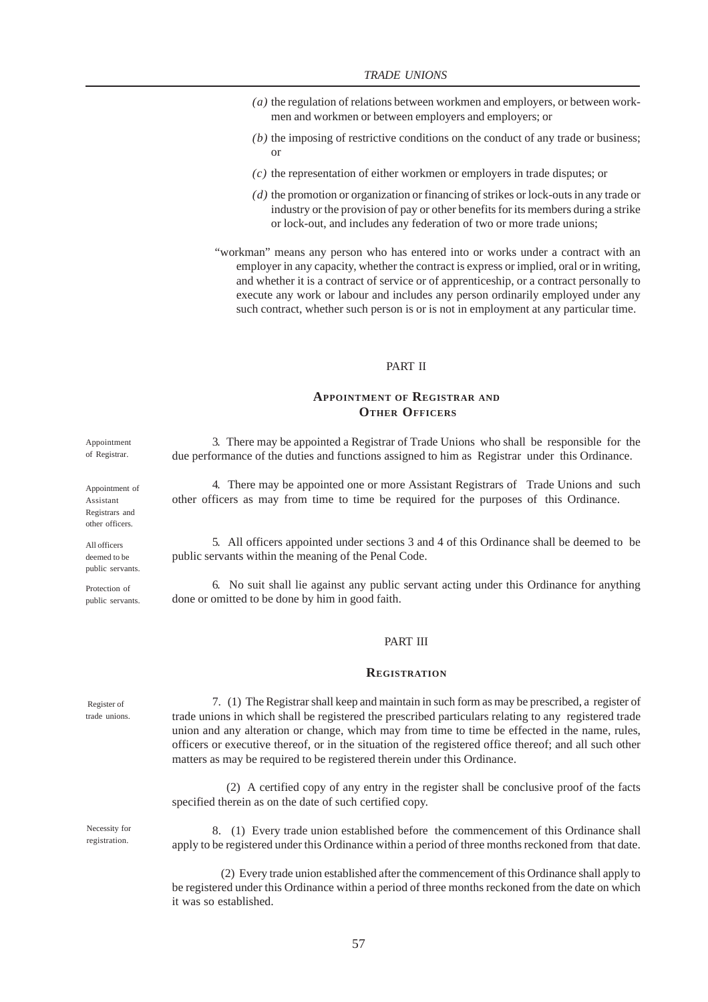- *(a)* the regulation of relations between workmen and employers, or between workmen and workmen or between employers and employers; or
- *(b)* the imposing of restrictive conditions on the conduct of any trade or business; or
- *(c)* the representation of either workmen or employers in trade disputes; or
- *(d)* the promotion or organization or financing of strikes or lock-outs in any trade or industry or the provision of pay or other benefits for its members during a strike or lock-out, and includes any federation of two or more trade unions;
- "workman" means any person who has entered into or works under a contract with an employer in any capacity, whether the contract is express or implied, oral or in writing, and whether it is a contract of service or of apprenticeship, or a contract personally to execute any work or labour and includes any person ordinarily employed under any such contract, whether such person is or is not in employment at any particular time.

## PART II

## **APPOINTMENT OF REGISTRAR AND OTHER OFFICERS**

3. There may be appointed a Registrar of Trade Unions who shall be responsible for the due performance of the duties and functions assigned to him as Registrar under this Ordinance.

4. There may be appointed one or more Assistant Registrars of Trade Unions and such other officers as may from time to time be required for the purposes of this Ordinance.

5. All officers appointed under sections 3 and 4 of this Ordinance shall be deemed to be public servants within the meaning of the Penal Code.

6. No suit shall lie against any public servant acting under this Ordinance for anything done or omitted to be done by him in good faith.

#### PART III

#### **REGISTRATION**

7. (1) The Registrar shall keep and maintain in such form as may be prescribed, a register of trade unions in which shall be registered the prescribed particulars relating to any registered trade union and any alteration or change, which may from time to time be effected in the name, rules, officers or executive thereof, or in the situation of the registered office thereof; and all such other matters as may be required to be registered therein under this Ordinance.

 (2) A certified copy of any entry in the register shall be conclusive proof of the facts specified therein as on the date of such certified copy.

8. (1) Every trade union established before the commencement of this Ordinance shall apply to be registered under this Ordinance within a period of three months reckoned from that date.

 (2) Every trade union established after the commencement of this Ordinance shall apply to be registered under this Ordinance within a period of three months reckoned from the date on which it was so established.

Appointment of Registrar.

Appointment of Assistant Registrars and other officers.

All officers deemed to be public servants.

Protection of public servants.

 Register of trade unions.

Necessity for registration.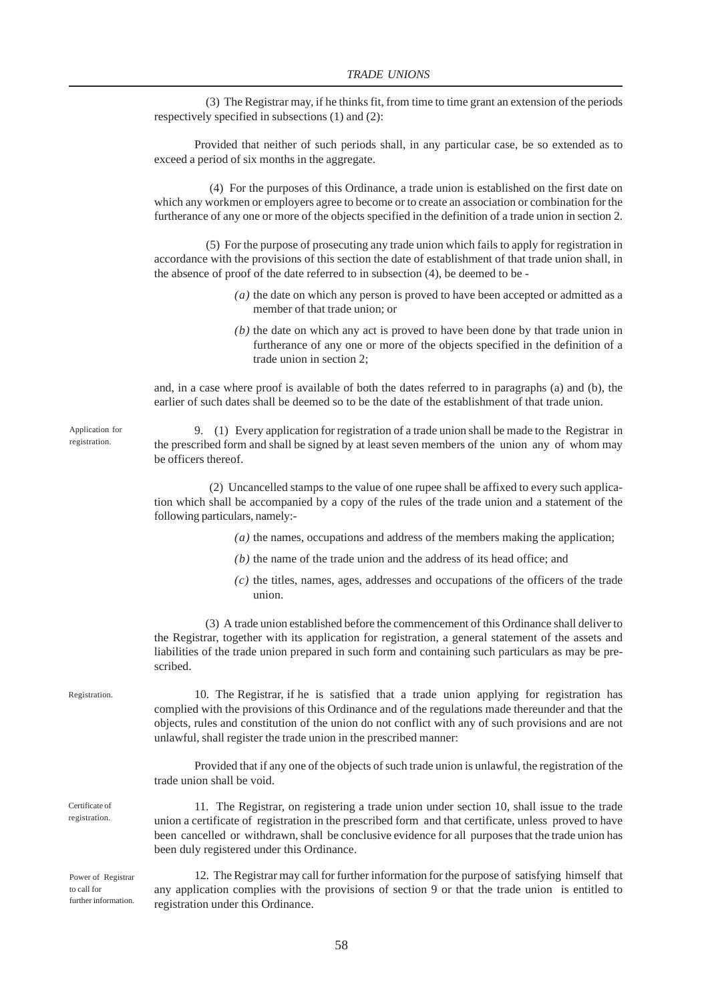(3) The Registrar may, if he thinks fit, from time to time grant an extension of the periods respectively specified in subsections (1) and (2):

Provided that neither of such periods shall, in any particular case, be so extended as to exceed a period of six months in the aggregate.

 (4) For the purposes of this Ordinance, a trade union is established on the first date on which any workmen or employers agree to become or to create an association or combination for the furtherance of any one or more of the objects specified in the definition of a trade union in section 2.

 (5) For the purpose of prosecuting any trade union which fails to apply for registration in accordance with the provisions of this section the date of establishment of that trade union shall, in the absence of proof of the date referred to in subsection (4), be deemed to be -

- *(a)* the date on which any person is proved to have been accepted or admitted as a member of that trade union; or
- *(b)* the date on which any act is proved to have been done by that trade union in furtherance of any one or more of the objects specified in the definition of a trade union in section 2;

and, in a case where proof is available of both the dates referred to in paragraphs (a) and (b), the earlier of such dates shall be deemed so to be the date of the establishment of that trade union.

9. (1) Every application for registration of a trade union shall be made to the Registrar in the prescribed form and shall be signed by at least seven members of the union any of whom may be officers thereof.

 (2) Uncancelled stamps to the value of one rupee shall be affixed to every such application which shall be accompanied by a copy of the rules of the trade union and a statement of the following particulars, namely:-

- *(a)* the names, occupations and address of the members making the application;
- *(b)* the name of the trade union and the address of its head office; and
- *(c)* the titles, names, ages, addresses and occupations of the officers of the trade union.

 (3) A trade union established before the commencement of this Ordinance shall deliver to the Registrar, together with its application for registration, a general statement of the assets and liabilities of the trade union prepared in such form and containing such particulars as may be prescribed.

Registration.

Certificate of registration.

10. The Registrar, if he is satisfied that a trade union applying for registration has complied with the provisions of this Ordinance and of the regulations made thereunder and that the objects, rules and constitution of the union do not conflict with any of such provisions and are not unlawful, shall register the trade union in the prescribed manner:

Provided that if any one of the objects of such trade union is unlawful, the registration of the trade union shall be void.

11. The Registrar, on registering a trade union under section 10, shall issue to the trade union a certificate of registration in the prescribed form and that certificate, unless proved to have been cancelled or withdrawn, shall be conclusive evidence for all purposes that the trade union has been duly registered under this Ordinance.

Power of Registrar to call for further information.

12. The Registrar may call for further information for the purpose of satisfying himself that any application complies with the provisions of section 9 or that the trade union is entitled to registration under this Ordinance.

Application for registration.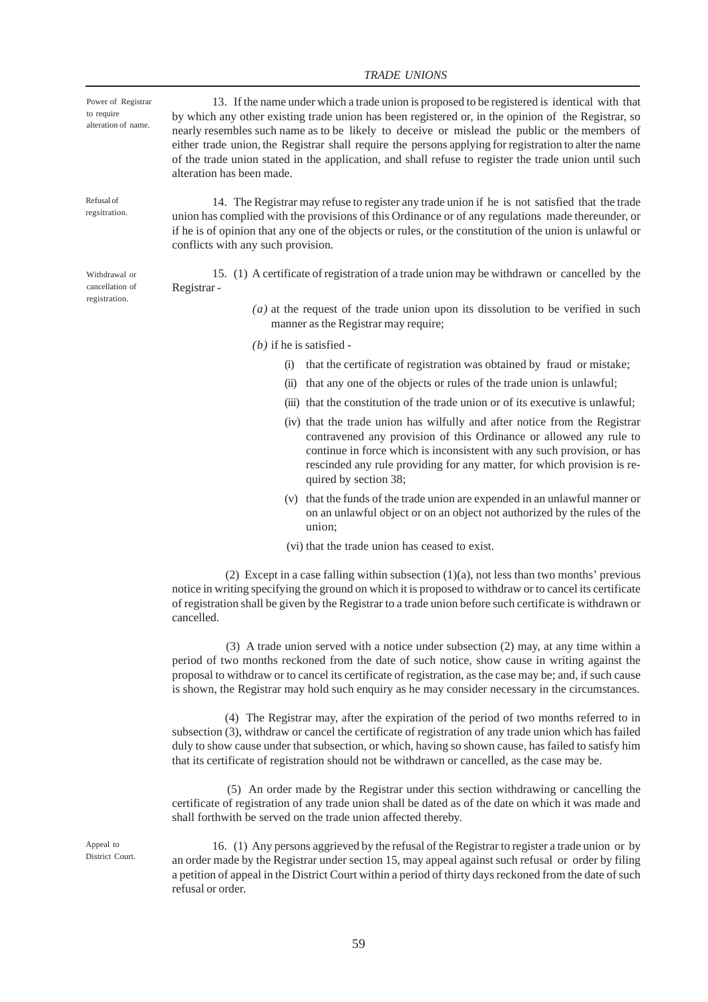#### *TRADE UNIONS*

13. If the name under which a trade union is proposed to be registered is identical with that by which any other existing trade union has been registered or, in the opinion of the Registrar, so nearly resembles such name as to be likely to deceive or mislead the public or the members of either trade union, the Registrar shall require the persons applying for registration to alter the name of the trade union stated in the application, and shall refuse to register the trade union until such alteration has been made. Power of Registrar alteration of name.

> 14. The Registrar may refuse to register any trade union if he is not satisfied that the trade union has complied with the provisions of this Ordinance or of any regulations made thereunder, or if he is of opinion that any one of the objects or rules, or the constitution of the union is unlawful or conflicts with any such provision.

> 15. (1) A certificate of registration of a trade union may be withdrawn or cancelled by the Registrar -

> > *(a)* at the request of the trade union upon its dissolution to be verified in such manner as the Registrar may require;

*(b)* if he is satisfied -

- (i) that the certificate of registration was obtained by fraud or mistake;
- (ii) that any one of the objects or rules of the trade union is unlawful;
- (iii) that the constitution of the trade union or of its executive is unlawful;
- (iv) that the trade union has wilfully and after notice from the Registrar contravened any provision of this Ordinance or allowed any rule to continue in force which is inconsistent with any such provision, or has rescinded any rule providing for any matter, for which provision is required by section 38;
- (v) that the funds of the trade union are expended in an unlawful manner or on an unlawful object or on an object not authorized by the rules of the union;
- (vi) that the trade union has ceased to exist.

(2) Except in a case falling within subsection  $(1)(a)$ , not less than two months' previous notice in writing specifying the ground on which it is proposed to withdraw or to cancel its certificate of registration shall be given by the Registrar to a trade union before such certificate is withdrawn or cancelled.

 (3) A trade union served with a notice under subsection (2) may, at any time within a period of two months reckoned from the date of such notice, show cause in writing against the proposal to withdraw or to cancel its certificate of registration, as the case may be; and, if such cause is shown, the Registrar may hold such enquiry as he may consider necessary in the circumstances.

 (4) The Registrar may, after the expiration of the period of two months referred to in subsection (3), withdraw or cancel the certificate of registration of any trade union which has failed duly to show cause under that subsection, or which, having so shown cause, has failed to satisfy him that its certificate of registration should not be withdrawn or cancelled, as the case may be.

 (5) An order made by the Registrar under this section withdrawing or cancelling the certificate of registration of any trade union shall be dated as of the date on which it was made and shall forthwith be served on the trade union affected thereby.

16. (1) Any persons aggrieved by the refusal of the Registrar to register a trade union or by an order made by the Registrar under section 15, may appeal against such refusal or order by filing a petition of appeal in the District Court within a period of thirty days reckoned from the date of such refusal or order.

Withdrawal or cancellation of registration.

Refusal of regsitration.

to require

Appeal to District Court.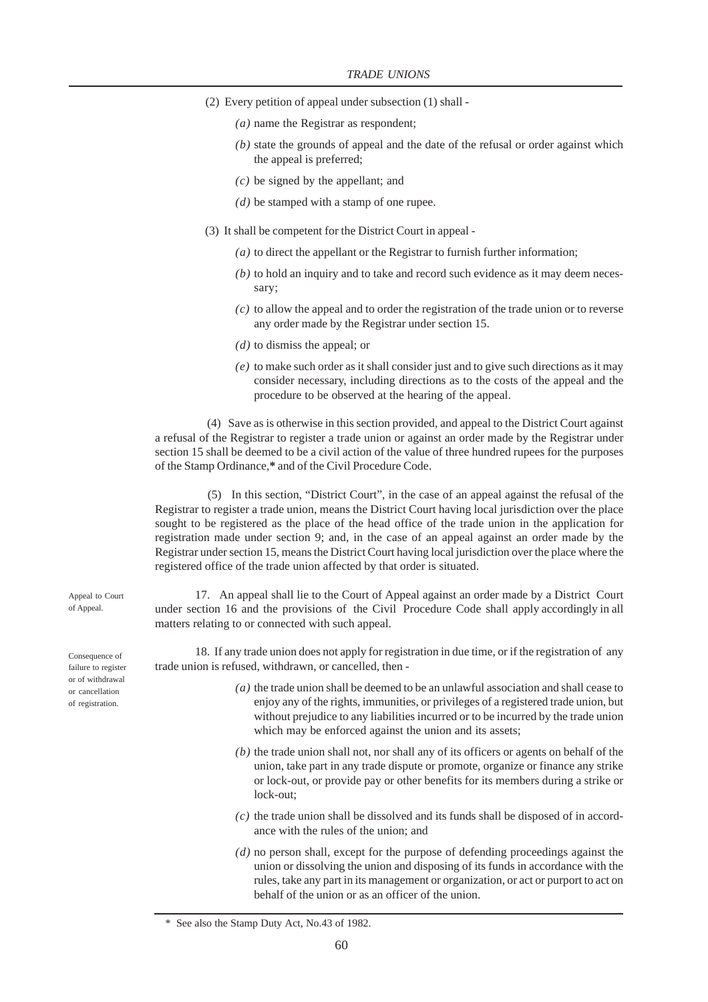- (2) Every petition of appeal under subsection (1) shall
	- *(a)* name the Registrar as respondent;
	- *(b)* state the grounds of appeal and the date of the refusal or order against which the appeal is preferred;
	- *(c)* be signed by the appellant; and
	- *(d)* be stamped with a stamp of one rupee.
- (3) It shall be competent for the District Court in appeal
	- *(a)* to direct the appellant or the Registrar to furnish further information;
	- *(b)* to hold an inquiry and to take and record such evidence as it may deem necessary;
	- *(c)* to allow the appeal and to order the registration of the trade union or to reverse any order made by the Registrar under section 15.
	- *(d)* to dismiss the appeal; or
	- *(e)* to make such order as it shall consider just and to give such directions as it may consider necessary, including directions as to the costs of the appeal and the procedure to be observed at the hearing of the appeal.

 (4) Save as is otherwise in this section provided, and appeal to the District Court against a refusal of the Registrar to register a trade union or against an order made by the Registrar under section 15 shall be deemed to be a civil action of the value of three hundred rupees for the purposes of the Stamp Ordinance,**\*** and of the Civil Procedure Code.

 (5) In this section, "District Court", in the case of an appeal against the refusal of the Registrar to register a trade union, means the District Court having local jurisdiction over the place sought to be registered as the place of the head office of the trade union in the application for registration made under section 9; and, in the case of an appeal against an order made by the Registrar under section 15, means the District Court having local jurisdiction over the place where the registered office of the trade union affected by that order is situated.

17. An appeal shall lie to the Court of Appeal against an order made by a District Court under section 16 and the provisions of the Civil Procedure Code shall apply accordingly in all matters relating to or connected with such appeal.

18. If any trade union does not apply for registration in due time, or if the registration of any trade union is refused, withdrawn, or cancelled, then -

- *(a)* the trade union shall be deemed to be an unlawful association and shall cease to enjoy any of the rights, immunities, or privileges of a registered trade union, but without prejudice to any liabilities incurred or to be incurred by the trade union which may be enforced against the union and its assets;
- *(b)* the trade union shall not, nor shall any of its officers or agents on behalf of the union, take part in any trade dispute or promote, organize or finance any strike or lock-out, or provide pay or other benefits for its members during a strike or lock-out;
- *(c)* the trade union shall be dissolved and its funds shall be disposed of in accordance with the rules of the union; and
- *(d)* no person shall, except for the purpose of defending proceedings against the union or dissolving the union and disposing of its funds in accordance with the rules, take any part in its management or organization, or act or purport to act on behalf of the union or as an officer of the union.

Consequence of failure to register

or of withdrawal or cancellation of registration.

Appeal to Court of Appeal.

 <sup>\*</sup> See also the Stamp Duty Act, No.43 of 1982.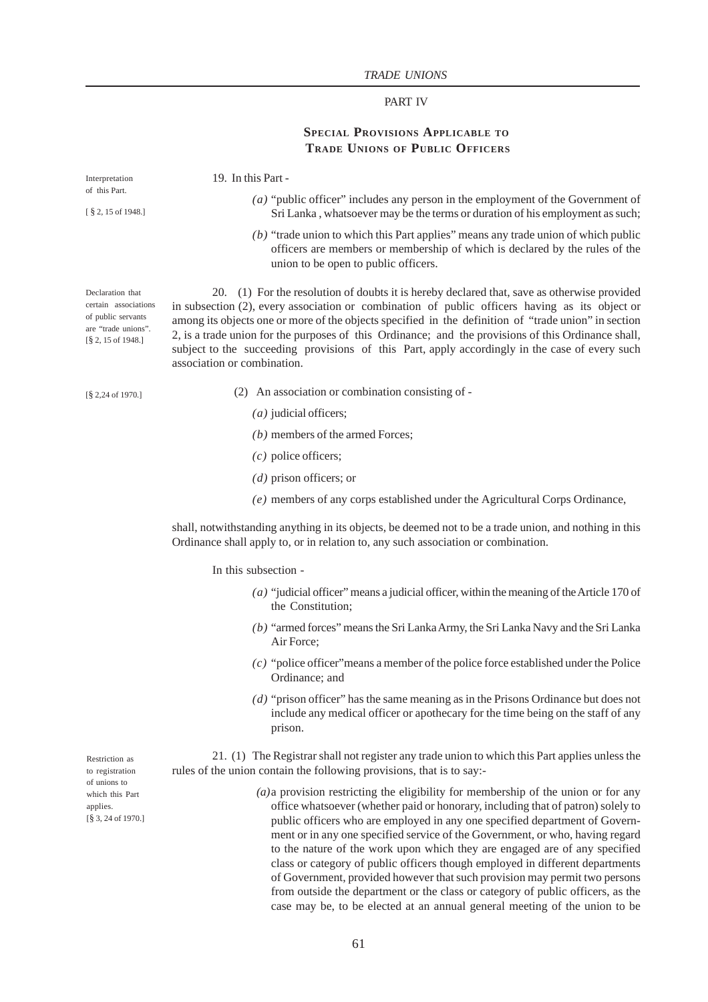# PART IV

# **SPECIAL PROVISIONS APPLICABLE TO TRADE UNIONS OF PUBLIC OFFICERS**

| Interpretation<br>of this Part.<br>[§ 2, 15 of 1948.]                                                                                | 19. In this Part -                                                                                                                                                                                                                                                                                                                                                                                                                                                                                                                                                                    |
|--------------------------------------------------------------------------------------------------------------------------------------|---------------------------------------------------------------------------------------------------------------------------------------------------------------------------------------------------------------------------------------------------------------------------------------------------------------------------------------------------------------------------------------------------------------------------------------------------------------------------------------------------------------------------------------------------------------------------------------|
|                                                                                                                                      | $(a)$ "public officer" includes any person in the employment of the Government of<br>Sri Lanka, whatsoever may be the terms or duration of his employment as such;                                                                                                                                                                                                                                                                                                                                                                                                                    |
|                                                                                                                                      | $(b)$ "trade union to which this Part applies" means any trade union of which public<br>officers are members or membership of which is declared by the rules of the<br>union to be open to public officers.                                                                                                                                                                                                                                                                                                                                                                           |
| Declaration that<br>certain associations<br>of public servants<br>are "trade unions".<br>$[\S 2, 15 \text{ of } 1948.]$              | 20. (1) For the resolution of doubts it is hereby declared that, save as otherwise provided<br>in subsection (2), every association or combination of public officers having as its object or<br>among its objects one or more of the objects specified in the definition of "trade union" in section<br>2, is a trade union for the purposes of this Ordinance; and the provisions of this Ordinance shall,<br>subject to the succeeding provisions of this Part, apply accordingly in the case of every such<br>association or combination.                                         |
| $[\S 2, 24$ of 1970.]                                                                                                                | (2) An association or combination consisting of -                                                                                                                                                                                                                                                                                                                                                                                                                                                                                                                                     |
|                                                                                                                                      | $(a)$ judicial officers;                                                                                                                                                                                                                                                                                                                                                                                                                                                                                                                                                              |
|                                                                                                                                      | $(b)$ members of the armed Forces;                                                                                                                                                                                                                                                                                                                                                                                                                                                                                                                                                    |
|                                                                                                                                      | $(c)$ police officers;                                                                                                                                                                                                                                                                                                                                                                                                                                                                                                                                                                |
|                                                                                                                                      | $(d)$ prison officers; or                                                                                                                                                                                                                                                                                                                                                                                                                                                                                                                                                             |
|                                                                                                                                      | (e) members of any corps established under the Agricultural Corps Ordinance,                                                                                                                                                                                                                                                                                                                                                                                                                                                                                                          |
|                                                                                                                                      | shall, notwithstanding anything in its objects, be deemed not to be a trade union, and nothing in this<br>Ordinance shall apply to, or in relation to, any such association or combination.                                                                                                                                                                                                                                                                                                                                                                                           |
|                                                                                                                                      | In this subsection -                                                                                                                                                                                                                                                                                                                                                                                                                                                                                                                                                                  |
|                                                                                                                                      | (a) "judicial officer" means a judicial officer, within the meaning of the Article 170 of<br>the Constitution;                                                                                                                                                                                                                                                                                                                                                                                                                                                                        |
|                                                                                                                                      | $(b)$ "armed forces" means the Sri Lanka Army, the Sri Lanka Navy and the Sri Lanka<br>Air Force:                                                                                                                                                                                                                                                                                                                                                                                                                                                                                     |
|                                                                                                                                      | $(c)$ "police officer" means a member of the police force established under the Police<br>Ordinance; and                                                                                                                                                                                                                                                                                                                                                                                                                                                                              |
|                                                                                                                                      | $(d)$ "prison officer" has the same meaning as in the Prisons Ordinance but does not<br>include any medical officer or apothecary for the time being on the staff of any<br>prison.                                                                                                                                                                                                                                                                                                                                                                                                   |
| Restriction as<br>to registration<br>of unions to<br>which this Part<br>applies.<br>$\left[\frac{8}{3}, 24 \text{ of } 1970.\right]$ | 21. (1) The Registrar shall not register any trade union to which this Part applies unless the<br>rules of the union contain the following provisions, that is to say:-                                                                                                                                                                                                                                                                                                                                                                                                               |
|                                                                                                                                      | $(a)$ a provision restricting the eligibility for membership of the union or for any<br>office whatsoever (whether paid or honorary, including that of patron) solely to<br>public officers who are employed in any one specified department of Govern-<br>ment or in any one specified service of the Government, or who, having regard<br>to the nature of the work upon which they are engaged are of any specified<br>class or category of public officers though employed in different departments<br>of Government, provided however that such provision may permit two persons |

from outside the department or the class or category of public officers, as the case may be, to be elected at an annual general meeting of the union to be

61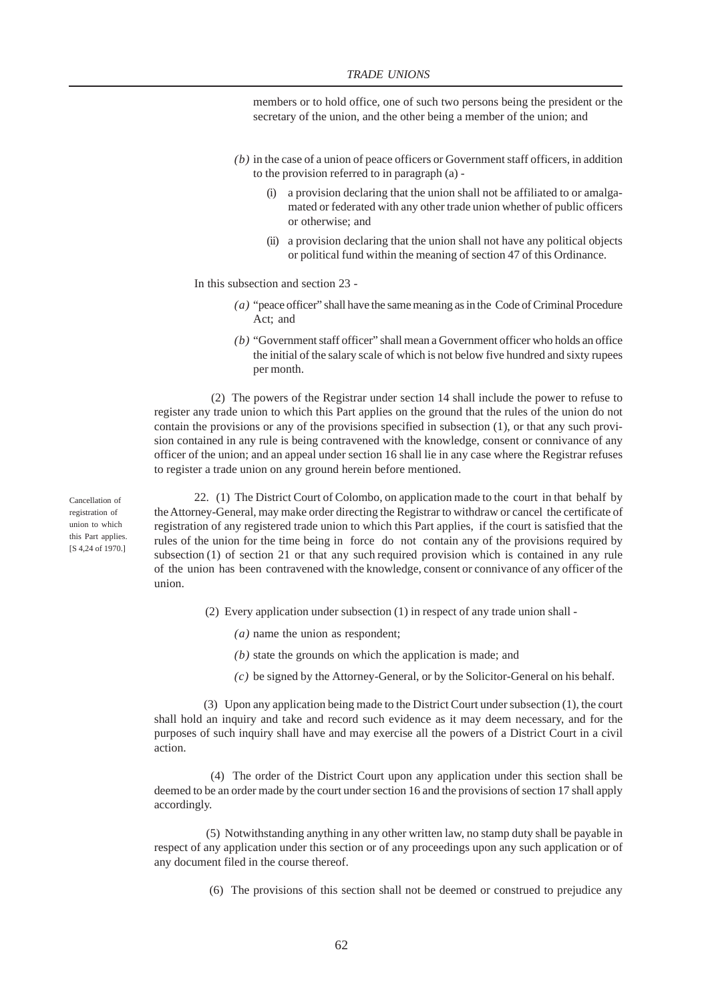members or to hold office, one of such two persons being the president or the secretary of the union, and the other being a member of the union; and

- *(b)* in the case of a union of peace officers or Government staff officers, in addition to the provision referred to in paragraph (a) -
	- (i) a provision declaring that the union shall not be affiliated to or amalgamated or federated with any other trade union whether of public officers or otherwise; and
	- (ii) a provision declaring that the union shall not have any political objects or political fund within the meaning of section 47 of this Ordinance.

In this subsection and section 23 -

- *(a)* "peace officer" shall have the same meaning as in the Code of Criminal Procedure Act; and
- *(b)* "Government staff officer" shall mean a Government officer who holds an office the initial of the salary scale of which is not below five hundred and sixty rupees per month.

 (2) The powers of the Registrar under section 14 shall include the power to refuse to register any trade union to which this Part applies on the ground that the rules of the union do not contain the provisions or any of the provisions specified in subsection (1), or that any such provision contained in any rule is being contravened with the knowledge, consent or connivance of any officer of the union; and an appeal under section 16 shall lie in any case where the Registrar refuses to register a trade union on any ground herein before mentioned.

Cancellation of registration of union to which this Part applies. [S 4,24 of 1970.]

22. (1) The District Court of Colombo, on application made to the court in that behalf by the Attorney-General, may make order directing the Registrar to withdraw or cancel the certificate of registration of any registered trade union to which this Part applies, if the court is satisfied that the rules of the union for the time being in force do not contain any of the provisions required by subsection (1) of section 21 or that any such required provision which is contained in any rule of the union has been contravened with the knowledge, consent or connivance of any officer of the union.

- (2) Every application under subsection (1) in respect of any trade union shall
	- *(a)* name the union as respondent;
	- *(b)* state the grounds on which the application is made; and
	- *(c)* be signed by the Attorney-General, or by the Solicitor-General on his behalf.

 (3) Upon any application being made to the District Court under subsection (1), the court shall hold an inquiry and take and record such evidence as it may deem necessary, and for the purposes of such inquiry shall have and may exercise all the powers of a District Court in a civil action.

 (4) The order of the District Court upon any application under this section shall be deemed to be an order made by the court under section 16 and the provisions of section 17 shall apply accordingly.

 (5) Notwithstanding anything in any other written law, no stamp duty shall be payable in respect of any application under this section or of any proceedings upon any such application or of any document filed in the course thereof.

(6) The provisions of this section shall not be deemed or construed to prejudice any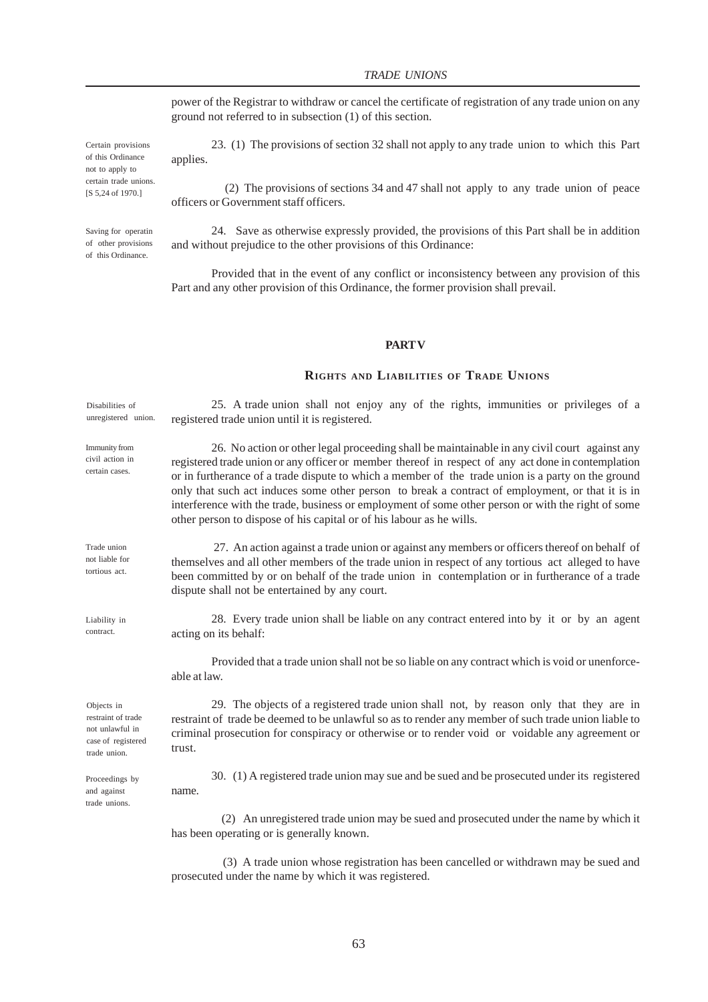power of the Registrar to withdraw or cancel the certificate of registration of any trade union on any ground not referred to in subsection (1) of this section.

23. (1) The provisions of section 32 shall not apply to any trade union to which this Part applies.

 (2) The provisions of sections 34 and 47 shall not apply to any trade union of peace officers or Government staff officers.

24. Save as otherwise expressly provided, the provisions of this Part shall be in addition and without prejudice to the other provisions of this Ordinance:

Provided that in the event of any conflict or inconsistency between any provision of this Part and any other provision of this Ordinance, the former provision shall prevail.

## **PART V**

## **RIGHTS AND LIABILITIES OF TRADE UNIONS**

25. A trade union shall not enjoy any of the rights, immunities or privileges of a registered trade union until it is registered. Disabilities of unregistered union.

> 26. No action or other legal proceeding shall be maintainable in any civil court against any registered trade union or any officer or member thereof in respect of any act done in contemplation or in furtherance of a trade dispute to which a member of the trade union is a party on the ground only that such act induces some other person to break a contract of employment, or that it is in interference with the trade, business or employment of some other person or with the right of some other person to dispose of his capital or of his labour as he wills.

> 27. An action against a trade union or against any members or officers thereof on behalf of themselves and all other members of the trade union in respect of any tortious act alleged to have been committed by or on behalf of the trade union in contemplation or in furtherance of a trade dispute shall not be entertained by any court.

28. Every trade union shall be liable on any contract entered into by it or by an agent acting on its behalf:

Provided that a trade union shall not be so liable on any contract which is void or unenforceable at law.

29. The objects of a registered trade union shall not, by reason only that they are in restraint of trade be deemed to be unlawful so as to render any member of such trade union liable to criminal prosecution for conspiracy or otherwise or to render void or voidable any agreement or trust.

30. (1) A registered trade union may sue and be sued and be prosecuted under its registered name.

 (2) An unregistered trade union may be sued and prosecuted under the name by which it has been operating or is generally known.

 (3) A trade union whose registration has been cancelled or withdrawn may be sued and prosecuted under the name by which it was registered.

Certain provisions of this Ordinance not to apply to certain trade unions. [S 5,24 of 1970.]

Saving for operatin of other provisions of this Ordinance.

Trade union not liable for tortious act.

Immunity from civil action in certain cases.

Liability in contract.

Objects in restraint of trade not unlawful in case of registered trade union.

Proceedings by and against trade unions.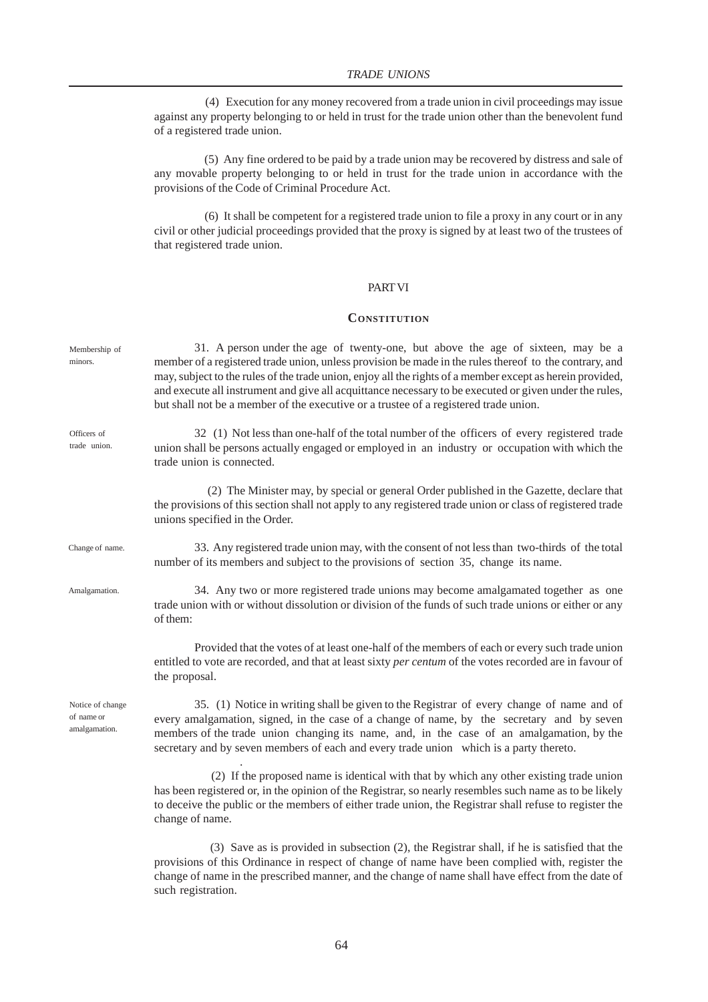(4) Execution for any money recovered from a trade union in civil proceedings may issue against any property belonging to or held in trust for the trade union other than the benevolent fund of a registered trade union.

 (5) Any fine ordered to be paid by a trade union may be recovered by distress and sale of any movable property belonging to or held in trust for the trade union in accordance with the provisions of the Code of Criminal Procedure Act.

 (6) It shall be competent for a registered trade union to file a proxy in any court or in any civil or other judicial proceedings provided that the proxy is signed by at least two of the trustees of that registered trade union.

## PART VI

## **CONSTITUTION**

| Membership of<br>minors.                        | 31. A person under the age of twenty-one, but above the age of sixteen, may be a<br>member of a registered trade union, unless provision be made in the rules thereof to the contrary, and<br>may, subject to the rules of the trade union, enjoy all the rights of a member except as herein provided,<br>and execute all instrument and give all acquittance necessary to be executed or given under the rules,<br>but shall not be a member of the executive or a trustee of a registered trade union. |
|-------------------------------------------------|-----------------------------------------------------------------------------------------------------------------------------------------------------------------------------------------------------------------------------------------------------------------------------------------------------------------------------------------------------------------------------------------------------------------------------------------------------------------------------------------------------------|
| Officers of<br>trade union.                     | 32 (1) Not less than one-half of the total number of the officers of every registered trade<br>union shall be persons actually engaged or employed in an industry or occupation with which the<br>trade union is connected.                                                                                                                                                                                                                                                                               |
|                                                 | (2) The Minister may, by special or general Order published in the Gazette, declare that<br>the provisions of this section shall not apply to any registered trade union or class of registered trade<br>unions specified in the Order.                                                                                                                                                                                                                                                                   |
| Change of name.                                 | 33. Any registered trade union may, with the consent of not less than two-thirds of the total<br>number of its members and subject to the provisions of section 35, change its name.                                                                                                                                                                                                                                                                                                                      |
| Amalgamation.                                   | 34. Any two or more registered trade unions may become amalgamated together as one<br>trade union with or without dissolution or division of the funds of such trade unions or either or any<br>of them:                                                                                                                                                                                                                                                                                                  |
|                                                 | Provided that the votes of at least one-half of the members of each or every such trade union<br>entitled to vote are recorded, and that at least sixty per centum of the votes recorded are in favour of<br>the proposal.                                                                                                                                                                                                                                                                                |
| Notice of change<br>of name or<br>amalgamation. | 35. (1) Notice in writing shall be given to the Registrar of every change of name and of<br>every amalgamation, signed, in the case of a change of name, by the secretary and by seven<br>members of the trade union changing its name, and, in the case of an amalgamation, by the<br>secretary and by seven members of each and every trade union which is a party thereto.                                                                                                                             |
|                                                 | (2) If the proposed name is identical with that by which any other existing trade union<br>has been registered or, in the opinion of the Registrar, so nearly resembles such name as to be likely<br>to deceive the public or the members of either trade union, the Registrar shall refuse to register the<br>change of name.                                                                                                                                                                            |
|                                                 | (3) Save as is provided in subsection (2), the Registrar shall, if he is satisfied that the                                                                                                                                                                                                                                                                                                                                                                                                               |

provisions of this Ordinance in respect of change of name have been complied with, register the change of name in the prescribed manner, and the change of name shall have effect from the date of such registration.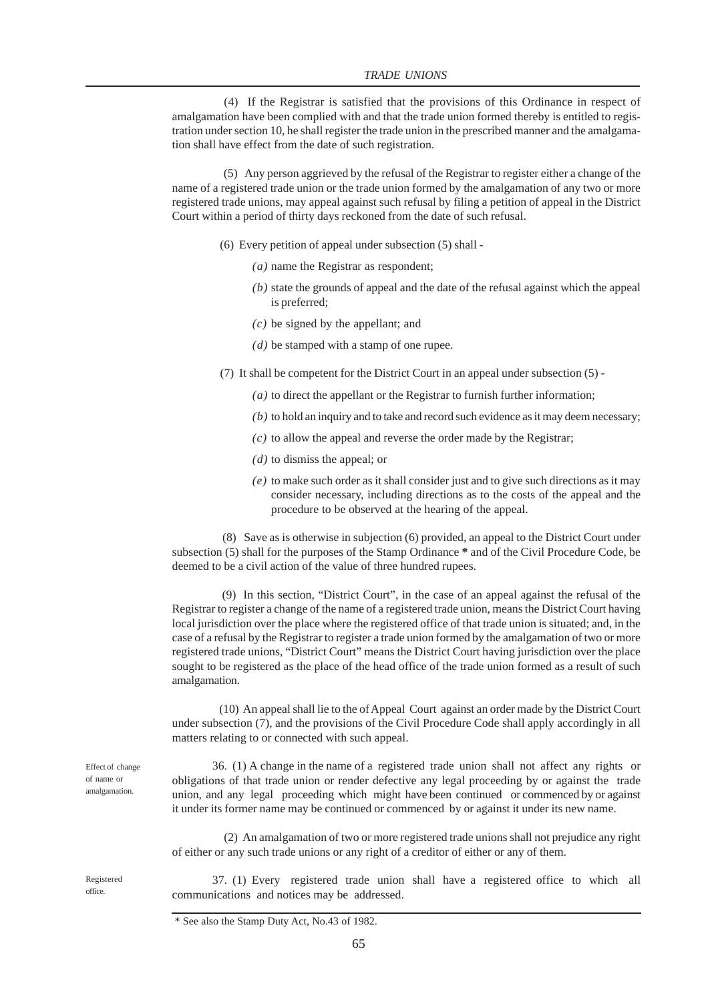(4) If the Registrar is satisfied that the provisions of this Ordinance in respect of amalgamation have been complied with and that the trade union formed thereby is entitled to registration under section 10, he shall register the trade union in the prescribed manner and the amalgamation shall have effect from the date of such registration.

 (5) Any person aggrieved by the refusal of the Registrar to register either a change of the name of a registered trade union or the trade union formed by the amalgamation of any two or more registered trade unions, may appeal against such refusal by filing a petition of appeal in the District Court within a period of thirty days reckoned from the date of such refusal.

- (6) Every petition of appeal under subsection (5) shall
	- *(a)* name the Registrar as respondent;
	- *(b)* state the grounds of appeal and the date of the refusal against which the appeal is preferred;
	- *(c)* be signed by the appellant; and
	- *(d)* be stamped with a stamp of one rupee.
- (7) It shall be competent for the District Court in an appeal under subsection (5)
	- *(a)* to direct the appellant or the Registrar to furnish further information;
	- *(b)* to hold an inquiry and to take and record such evidence as it may deem necessary;
	- *(c)* to allow the appeal and reverse the order made by the Registrar;
	- *(d)* to dismiss the appeal; or
	- *(e)* to make such order as it shall consider just and to give such directions as it may consider necessary, including directions as to the costs of the appeal and the procedure to be observed at the hearing of the appeal.

 (8) Save as is otherwise in subjection (6) provided, an appeal to the District Court under subsection (5) shall for the purposes of the Stamp Ordinance **\*** and of the Civil Procedure Code, be deemed to be a civil action of the value of three hundred rupees.

 (9) In this section, "District Court", in the case of an appeal against the refusal of the Registrar to register a change of the name of a registered trade union, means the District Court having local jurisdiction over the place where the registered office of that trade union is situated; and, in the case of a refusal by the Registrar to register a trade union formed by the amalgamation of two or more registered trade unions, "District Court" means the District Court having jurisdiction over the place sought to be registered as the place of the head office of the trade union formed as a result of such amalgamation.

 (10) An appeal shall lie to the of Appeal Court against an order made by the District Court under subsection (7), and the provisions of the Civil Procedure Code shall apply accordingly in all matters relating to or connected with such appeal.

36. (1) A change in the name of a registered trade union shall not affect any rights or obligations of that trade union or render defective any legal proceeding by or against the trade union, and any legal proceeding which might have been continued or commenced by or against it under its former name may be continued or commenced by or against it under its new name.

 (2) An amalgamation of two or more registered trade unions shall not prejudice any right of either or any such trade unions or any right of a creditor of either or any of them.

37. (1) Every registered trade union shall have a registered office to which all communications and notices may be addressed.

Effect of change of name or amalgamation.

Registered office.

<sup>\*</sup> See also the Stamp Duty Act, No.43 of 1982.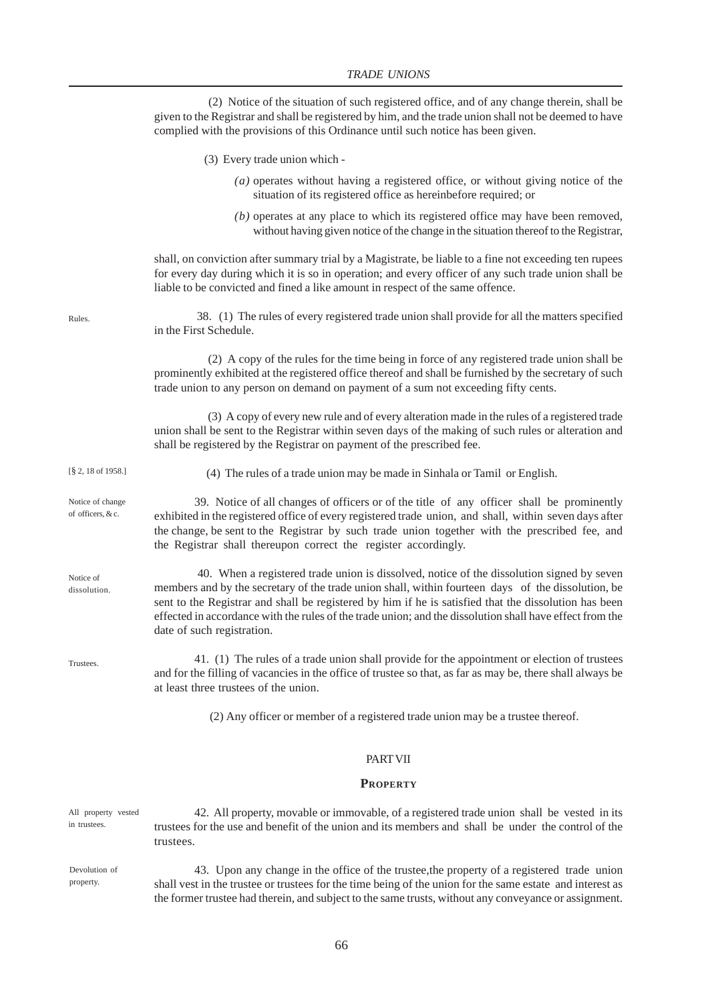(2) Notice of the situation of such registered office, and of any change therein, shall be given to the Registrar and shall be registered by him, and the trade union shall not be deemed to have complied with the provisions of this Ordinance until such notice has been given.

- (3) Every trade union which
	- *(a)* operates without having a registered office, or without giving notice of the situation of its registered office as hereinbefore required; or
	- *(b)* operates at any place to which its registered office may have been removed, without having given notice of the change in the situation thereof to the Registrar,

shall, on conviction after summary trial by a Magistrate, be liable to a fine not exceeding ten rupees for every day during which it is so in operation; and every officer of any such trade union shall be liable to be convicted and fined a like amount in respect of the same offence.

 38. (1) The rules of every registered trade union shall provide for all the matters specified in the First Schedule.

 (2) A copy of the rules for the time being in force of any registered trade union shall be prominently exhibited at the registered office thereof and shall be furnished by the secretary of such trade union to any person on demand on payment of a sum not exceeding fifty cents.

 (3) A copy of every new rule and of every alteration made in the rules of a registered trade union shall be sent to the Registrar within seven days of the making of such rules or alteration and shall be registered by the Registrar on payment of the prescribed fee.

(4) The rules of a trade union may be made in Sinhala or Tamil or English.

[§ 2, 18 of 1958.]

Rules.

Notice of change of officers, & c.

Notice of dissolution.

**Trustees** 

39. Notice of all changes of officers or of the title of any officer shall be prominently exhibited in the registered office of every registered trade union, and shall, within seven days after the change, be sent to the Registrar by such trade union together with the prescribed fee, and the Registrar shall thereupon correct the register accordingly.

 40. When a registered trade union is dissolved, notice of the dissolution signed by seven members and by the secretary of the trade union shall, within fourteen days of the dissolution, be sent to the Registrar and shall be registered by him if he is satisfied that the dissolution has been effected in accordance with the rules of the trade union; and the dissolution shall have effect from the date of such registration.

41. (1) The rules of a trade union shall provide for the appointment or election of trustees and for the filling of vacancies in the office of trustee so that, as far as may be, there shall always be at least three trustees of the union.

(2) Any officer or member of a registered trade union may be a trustee thereof.

#### PART VII

#### **PROPERTY**

42. All property, movable or immovable, of a registered trade union shall be vested in its trustees for the use and benefit of the union and its members and shall be under the control of the trustees. All property vested in trustees.

Devolution of property.

43. Upon any change in the office of the trustee,the property of a registered trade union shall vest in the trustee or trustees for the time being of the union for the same estate and interest as the former trustee had therein, and subject to the same trusts, without any conveyance or assignment.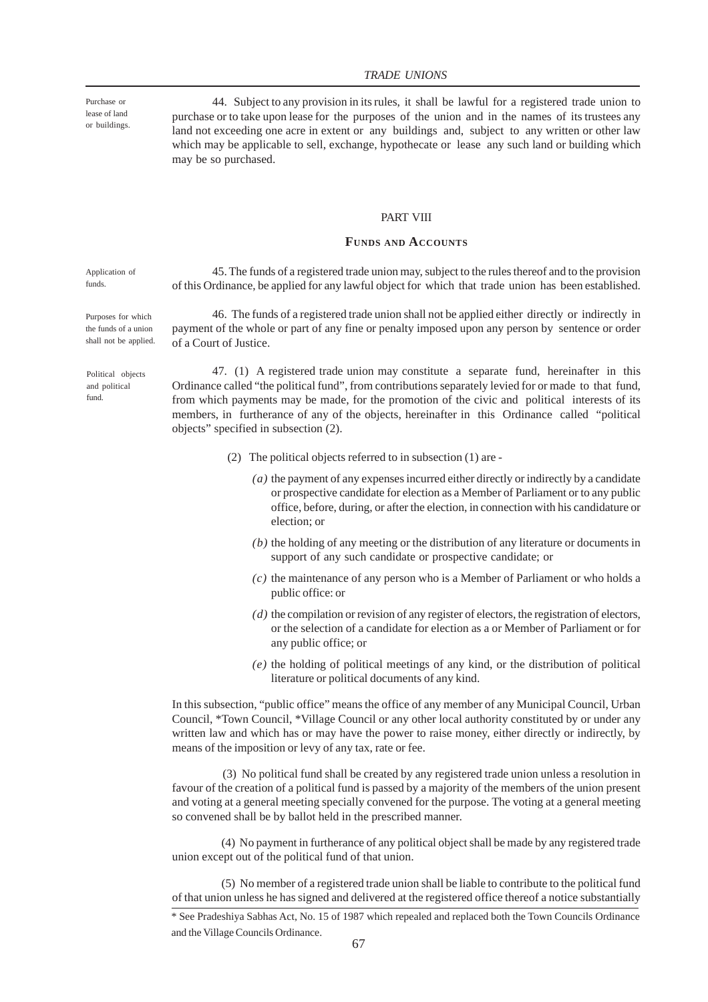Purchase or lease of land or buildings.

44. Subject to any provision in its rules, it shall be lawful for a registered trade union to purchase or to take upon lease for the purposes of the union and in the names of its trustees any land not exceeding one acre in extent or any buildings and, subject to any written or other law which may be applicable to sell, exchange, hypothecate or lease any such land or building which may be so purchased.

## PART VIII

## **FUNDS AND ACCOUNTS**

Application of funds.

Purposes for which the funds of a union shall not be applied.

45. The funds of a registered trade union may, subject to the rules thereof and to the provision of this Ordinance, be applied for any lawful object for which that trade union has been established.

46. The funds of a registered trade union shall not be applied either directly or indirectly in payment of the whole or part of any fine or penalty imposed upon any person by sentence or order of a Court of Justice.

Political objects and political fund.

47. (1) A registered trade union may constitute a separate fund, hereinafter in this Ordinance called "the political fund", from contributions separately levied for or made to that fund, from which payments may be made, for the promotion of the civic and political interests of its members, in furtherance of any of the objects, hereinafter in this Ordinance called "political objects" specified in subsection (2).

- (2) The political objects referred to in subsection (1) are
	- *(a)* the payment of any expenses incurred either directly or indirectly by a candidate or prospective candidate for election as a Member of Parliament or to any public office, before, during, or after the election, in connection with his candidature or election; or
	- *(b)* the holding of any meeting or the distribution of any literature or documents in support of any such candidate or prospective candidate; or
	- *(c)* the maintenance of any person who is a Member of Parliament or who holds a public office: or
	- *(d)* the compilation or revision of any register of electors, the registration of electors, or the selection of a candidate for election as a or Member of Parliament or for any public office; or
	- *(e)* the holding of political meetings of any kind, or the distribution of political literature or political documents of any kind.

In this subsection, "public office" means the office of any member of any Municipal Council, Urban Council, \*Town Council, \*Village Council or any other local authority constituted by or under any written law and which has or may have the power to raise money, either directly or indirectly, by means of the imposition or levy of any tax, rate or fee.

 (3) No political fund shall be created by any registered trade union unless a resolution in favour of the creation of a political fund is passed by a majority of the members of the union present and voting at a general meeting specially convened for the purpose. The voting at a general meeting so convened shall be by ballot held in the prescribed manner.

 (4) No payment in furtherance of any political object shall be made by any registered trade union except out of the political fund of that union.

 (5) No member of a registered trade union shall be liable to contribute to the political fund of that union unless he has signed and delivered at the registered office thereof a notice substantially

\* See Pradeshiya Sabhas Act, No. 15 of 1987 which repealed and replaced both the Town Councils Ordinance and the Village Councils Ordinance.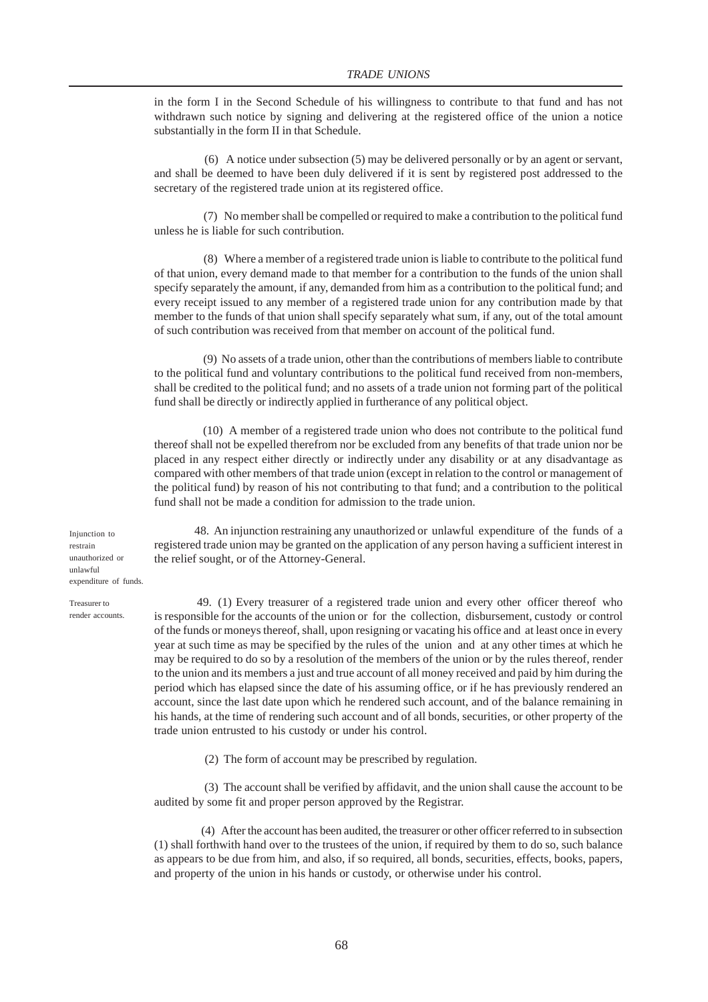in the form I in the Second Schedule of his willingness to contribute to that fund and has not withdrawn such notice by signing and delivering at the registered office of the union a notice substantially in the form II in that Schedule.

 (6) A notice under subsection (5) may be delivered personally or by an agent or servant, and shall be deemed to have been duly delivered if it is sent by registered post addressed to the secretary of the registered trade union at its registered office.

 (7) No member shall be compelled or required to make a contribution to the political fund unless he is liable for such contribution.

 (8) Where a member of a registered trade union is liable to contribute to the political fund of that union, every demand made to that member for a contribution to the funds of the union shall specify separately the amount, if any, demanded from him as a contribution to the political fund; and every receipt issued to any member of a registered trade union for any contribution made by that member to the funds of that union shall specify separately what sum, if any, out of the total amount of such contribution was received from that member on account of the political fund.

 (9) No assets of a trade union, other than the contributions of members liable to contribute to the political fund and voluntary contributions to the political fund received from non-members, shall be credited to the political fund; and no assets of a trade union not forming part of the political fund shall be directly or indirectly applied in furtherance of any political object.

 (10) A member of a registered trade union who does not contribute to the political fund thereof shall not be expelled therefrom nor be excluded from any benefits of that trade union nor be placed in any respect either directly or indirectly under any disability or at any disadvantage as compared with other members of that trade union (except in relation to the control or management of the political fund) by reason of his not contributing to that fund; and a contribution to the political fund shall not be made a condition for admission to the trade union.

Injunction to restrain unauthorized or unlawful expenditure of funds.

Treasurer to render accounts.

48. An injunction restraining any unauthorized or unlawful expenditure of the funds of a registered trade union may be granted on the application of any person having a sufficient interest in the relief sought, or of the Attorney-General.

49. (1) Every treasurer of a registered trade union and every other officer thereof who is responsible for the accounts of the union or for the collection, disbursement, custody or control of the funds or moneys thereof, shall, upon resigning or vacating his office and at least once in every year at such time as may be specified by the rules of the union and at any other times at which he may be required to do so by a resolution of the members of the union or by the rules thereof, render to the union and its members a just and true account of all money received and paid by him during the period which has elapsed since the date of his assuming office, or if he has previously rendered an account, since the last date upon which he rendered such account, and of the balance remaining in his hands, at the time of rendering such account and of all bonds, securities, or other property of the trade union entrusted to his custody or under his control.

(2) The form of account may be prescribed by regulation.

 (3) The account shall be verified by affidavit, and the union shall cause the account to be audited by some fit and proper person approved by the Registrar.

 (4) After the account has been audited, the treasurer or other officer referred to in subsection (1) shall forthwith hand over to the trustees of the union, if required by them to do so, such balance as appears to be due from him, and also, if so required, all bonds, securities, effects, books, papers, and property of the union in his hands or custody, or otherwise under his control.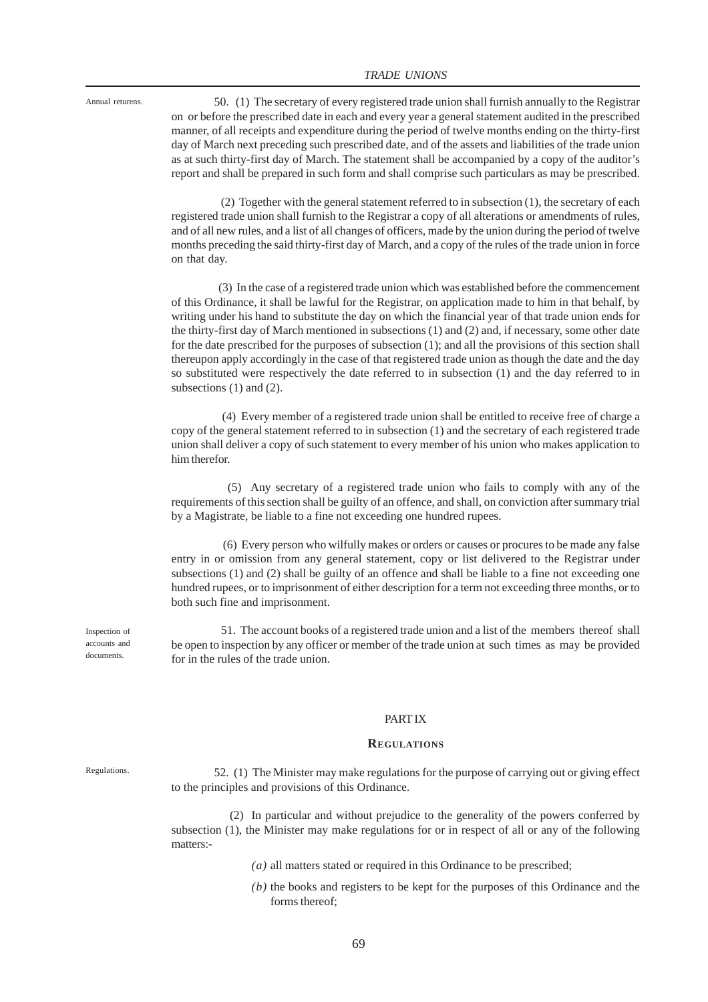Annual returens.

50. (1) The secretary of every registered trade union shall furnish annually to the Registrar on or before the prescribed date in each and every year a general statement audited in the prescribed manner, of all receipts and expenditure during the period of twelve months ending on the thirty-first day of March next preceding such prescribed date, and of the assets and liabilities of the trade union as at such thirty-first day of March. The statement shall be accompanied by a copy of the auditor's report and shall be prepared in such form and shall comprise such particulars as may be prescribed.

 (2) Together with the general statement referred to in subsection (1), the secretary of each registered trade union shall furnish to the Registrar a copy of all alterations or amendments of rules, and of all new rules, and a list of all changes of officers, made by the union during the period of twelve months preceding the said thirty-first day of March, and a copy of the rules of the trade union in force on that day.

 (3) In the case of a registered trade union which was established before the commencement of this Ordinance, it shall be lawful for the Registrar, on application made to him in that behalf, by writing under his hand to substitute the day on which the financial year of that trade union ends for the thirty-first day of March mentioned in subsections (1) and (2) and, if necessary, some other date for the date prescribed for the purposes of subsection (1); and all the provisions of this section shall thereupon apply accordingly in the case of that registered trade union as though the date and the day so substituted were respectively the date referred to in subsection (1) and the day referred to in subsections (1) and (2).

 (4) Every member of a registered trade union shall be entitled to receive free of charge a copy of the general statement referred to in subsection (1) and the secretary of each registered trade union shall deliver a copy of such statement to every member of his union who makes application to him therefor.

 (5) Any secretary of a registered trade union who fails to comply with any of the requirements of this section shall be guilty of an offence, and shall, on conviction after summary trial by a Magistrate, be liable to a fine not exceeding one hundred rupees.

 (6) Every person who wilfully makes or orders or causes or procures to be made any false entry in or omission from any general statement, copy or list delivered to the Registrar under subsections (1) and (2) shall be guilty of an offence and shall be liable to a fine not exceeding one hundred rupees, or to imprisonment of either description for a term not exceeding three months, or to both such fine and imprisonment.

 51. The account books of a registered trade union and a list of the members thereof shall be open to inspection by any officer or member of the trade union at such times as may be provided for in the rules of the trade union.

#### PART IX

#### **REGULATIONS**

52. (1) The Minister may make regulations for the purpose of carrying out or giving effect to the principles and provisions of this Ordinance.

 (2) In particular and without prejudice to the generality of the powers conferred by subsection (1), the Minister may make regulations for or in respect of all or any of the following matters:-

*(a)* all matters stated or required in this Ordinance to be prescribed;

*(b)* the books and registers to be kept for the purposes of this Ordinance and the forms thereof;

Inspection of accounts and documents.

Regulations.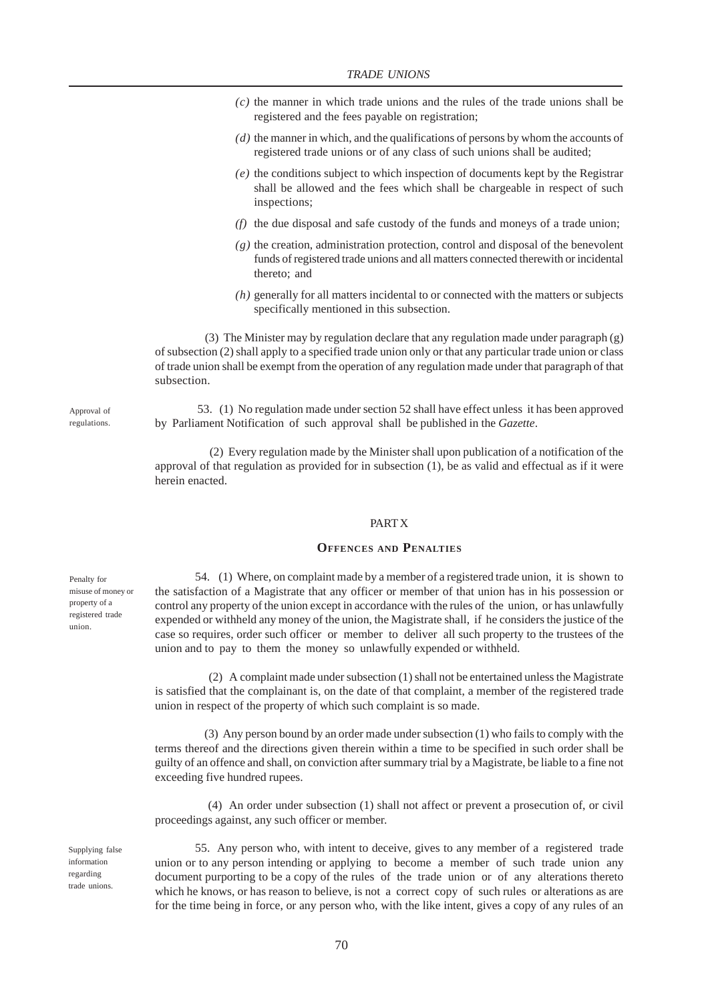- *(c)* the manner in which trade unions and the rules of the trade unions shall be registered and the fees payable on registration;
- *(d)* the manner in which, and the qualifications of persons by whom the accounts of registered trade unions or of any class of such unions shall be audited;
- *(e)* the conditions subject to which inspection of documents kept by the Registrar shall be allowed and the fees which shall be chargeable in respect of such inspections;
- *(f)* the due disposal and safe custody of the funds and moneys of a trade union;
- *(g)* the creation, administration protection, control and disposal of the benevolent funds of registered trade unions and all matters connected therewith or incidental thereto; and
- *(h)* generally for all matters incidental to or connected with the matters or subjects specifically mentioned in this subsection.

 (3) The Minister may by regulation declare that any regulation made under paragraph (g) of subsection (2) shall apply to a specified trade union only or that any particular trade union or class of trade union shall be exempt from the operation of any regulation made under that paragraph of that subsection.

 53. (1) No regulation made under section 52 shall have effect unless it has been approved by Parliament Notification of such approval shall be published in the *Gazette*.

 (2) Every regulation made by the Minister shall upon publication of a notification of the approval of that regulation as provided for in subsection (1), be as valid and effectual as if it were herein enacted.

#### PART X

### **OFFENCES AND PENALTIES**

54. (1) Where, on complaint made by a member of a registered trade union, it is shown to the satisfaction of a Magistrate that any officer or member of that union has in his possession or control any property of the union except in accordance with the rules of the union, or has unlawfully expended or withheld any money of the union, the Magistrate shall, if he considers the justice of the case so requires, order such officer or member to deliver all such property to the trustees of the union and to pay to them the money so unlawfully expended or withheld.

 (2) A complaint made under subsection (1) shall not be entertained unless the Magistrate is satisfied that the complainant is, on the date of that complaint, a member of the registered trade union in respect of the property of which such complaint is so made.

 (3) Any person bound by an order made under subsection (1) who fails to comply with the terms thereof and the directions given therein within a time to be specified in such order shall be guilty of an offence and shall, on conviction after summary trial by a Magistrate, be liable to a fine not exceeding five hundred rupees.

 (4) An order under subsection (1) shall not affect or prevent a prosecution of, or civil proceedings against, any such officer or member.

55. Any person who, with intent to deceive, gives to any member of a registered trade union or to any person intending or applying to become a member of such trade union any document purporting to be a copy of the rules of the trade union or of any alterations thereto which he knows, or has reason to believe, is not a correct copy of such rules or alterations as are for the time being in force, or any person who, with the like intent, gives a copy of any rules of an

Approval of regulations.

Penalty for misuse of money or property of a registered trade union.

Supplying false information regarding trade unions.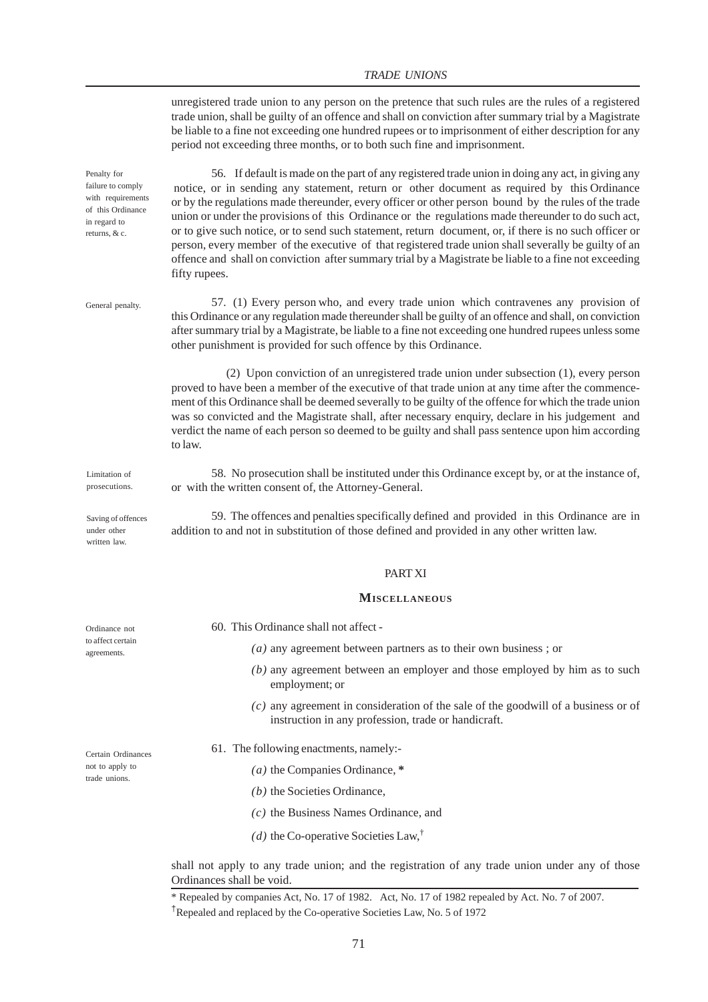## *TRADE UNIONS*

unregistered trade union to any person on the pretence that such rules are the rules of a registered trade union, shall be guilty of an offence and shall on conviction after summary trial by a Magistrate be liable to a fine not exceeding one hundred rupees or to imprisonment of either description for any period not exceeding three months, or to both such fine and imprisonment.

56. If default is made on the part of any registered trade union in doing any act, in giving any notice, or in sending any statement, return or other document as required by this Ordinance or by the regulations made thereunder, every officer or other person bound by the rules of the trade union or under the provisions of this Ordinance or the regulations made thereunder to do such act, or to give such notice, or to send such statement, return document, or, if there is no such officer or person, every member of the executive of that registered trade union shall severally be guilty of an offence and shall on conviction after summary trial by a Magistrate be liable to a fine not exceeding fifty rupees.

57. (1) Every person who, and every trade union which contravenes any provision of this Ordinance or any regulation made thereunder shall be guilty of an offence and shall, on conviction after summary trial by a Magistrate, be liable to a fine not exceeding one hundred rupees unless some other punishment is provided for such offence by this Ordinance.

 (2) Upon conviction of an unregistered trade union under subsection (1), every person proved to have been a member of the executive of that trade union at any time after the commencement of this Ordinance shall be deemed severally to be guilty of the offence for which the trade union was so convicted and the Magistrate shall, after necessary enquiry, declare in his judgement and verdict the name of each person so deemed to be guilty and shall pass sentence upon him according to law.

58. No prosecution shall be instituted under this Ordinance except by, or at the instance of, or with the written consent of, the Attorney-General.

59. The offences and penalties specifically defined and provided in this Ordinance are in addition to and not in substitution of those defined and provided in any other written law.

#### PART XI

#### **MISCELLANEOUS**

- 60. This Ordinance shall not affect
	- *(a)* any agreement between partners as to their own business ; or
	- *(b)* any agreement between an employer and those employed by him as to such employment; or
	- *(c)* any agreement in consideration of the sale of the goodwill of a business or of instruction in any profession, trade or handicraft.
- 61. The following enactments, namely:-
	- *(a)* the Companies Ordinance, **\***
	- *(b)* the Societies Ordinance,
	- *(c)* the Business Names Ordinance, and
	- (*d*) the Co-operative Societies Law,<sup>†</sup>

shall not apply to any trade union; and the registration of any trade union under any of those Ordinances shall be void.

Ordinance not to affect certain agreements.

Limitation of prosecutions.

Saving of offences under other written law.

Penalty for failure to comply with requirements of this Ordinance in regard to returns, & c.

General penalty.

Certain Ordinances not to apply to trade unions.

<sup>\*</sup> Repealed by companies Act, No. 17 of 1982. Act, No. 17 of 1982 repealed by Act. No. 7 of 2007.

<sup>†</sup>Repealed and replaced by the Co-operative Societies Law, No. 5 of 1972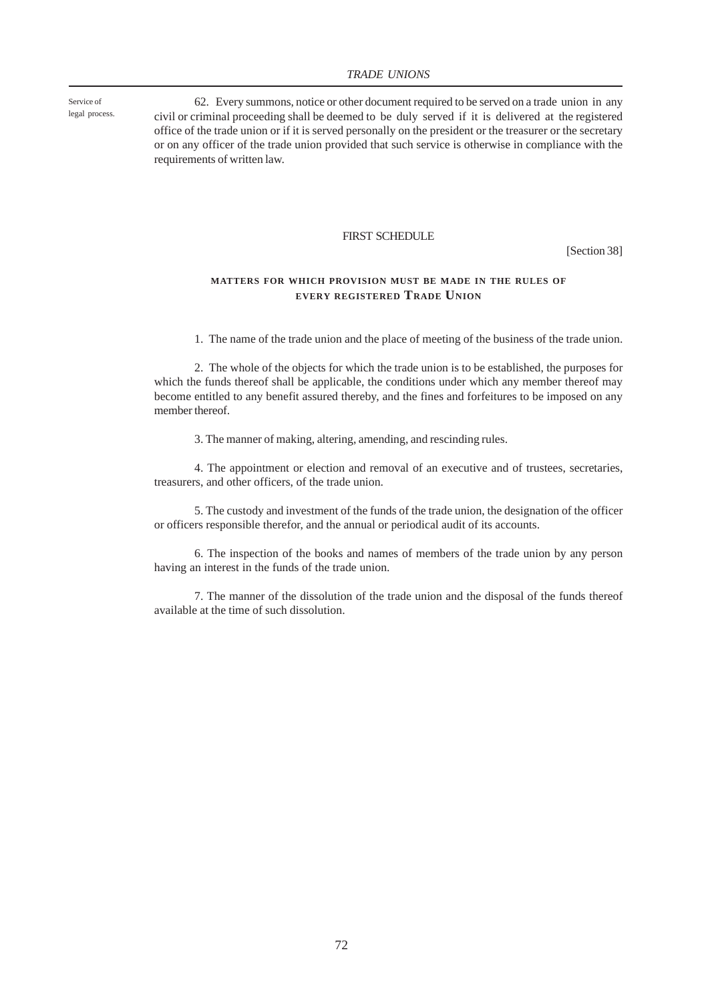Service of legal process.

62. Every summons, notice or other document required to be served on a trade union in any civil or criminal proceeding shall be deemed to be duly served if it is delivered at the registered office of the trade union or if it is served personally on the president or the treasurer or the secretary or on any officer of the trade union provided that such service is otherwise in compliance with the requirements of written law.

### FIRST SCHEDULE

[Section 38]

## **MATTERS FOR WHICH PROVISION MUST BE MADE IN THE RULES OF EVERY REGISTERED TRADE UNION**

1. The name of the trade union and the place of meeting of the business of the trade union.

2. The whole of the objects for which the trade union is to be established, the purposes for which the funds thereof shall be applicable, the conditions under which any member thereof may become entitled to any benefit assured thereby, and the fines and forfeitures to be imposed on any member thereof.

3. The manner of making, altering, amending, and rescinding rules.

4. The appointment or election and removal of an executive and of trustees, secretaries, treasurers, and other officers, of the trade union.

5. The custody and investment of the funds of the trade union, the designation of the officer or officers responsible therefor, and the annual or periodical audit of its accounts.

6. The inspection of the books and names of members of the trade union by any person having an interest in the funds of the trade union.

7. The manner of the dissolution of the trade union and the disposal of the funds thereof available at the time of such dissolution.